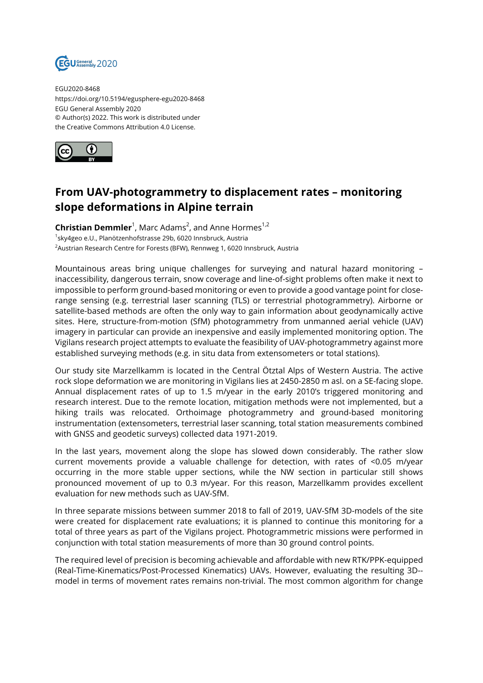

EGU2020-8468 https://doi.org/10.5194/egusphere-egu2020-8468 EGU General Assembly 2020 © Author(s) 2022. This work is distributed under the Creative Commons Attribution 4.0 License.



## **From UAV-photogrammetry to displacement rates – monitoring slope deformations in Alpine terrain**

**Christian Demmler**<sup>1</sup>, Marc Adams<sup>2</sup>, and Anne Hormes<sup>1,2</sup> <sup>1</sup>sky4geo e.U., Planötzenhofstrasse 29b, 6020 Innsbruck, Austria <sup>2</sup> Austrian Research Centre for Forests (BFW), Rennweg 1, 6020 Innsbruck, Austria

Mountainous areas bring unique challenges for surveying and natural hazard monitoring – inaccessibility, dangerous terrain, snow coverage and line-of-sight problems often make it next to impossible to perform ground-based monitoring or even to provide a good vantage point for closerange sensing (e.g. terrestrial laser scanning (TLS) or terrestrial photogrammetry). Airborne or satellite-based methods are often the only way to gain information about geodynamically active sites. Here, structure-from-motion (SfM) photogrammetry from unmanned aerial vehicle (UAV) imagery in particular can provide an inexpensive and easily implemented monitoring option. The Vigilans research project attempts to evaluate the feasibility of UAV-photogrammetry against more established surveying methods (e.g. in situ data from extensometers or total stations).

Our study site Marzellkamm is located in the Central Ötztal Alps of Western Austria. The active rock slope deformation we are monitoring in Vigilans lies at 2450-2850 m asl. on a SE-facing slope. Annual displacement rates of up to 1.5 m/year in the early 2010's triggered monitoring and research interest. Due to the remote location, mitigation methods were not implemented, but a hiking trails was relocated. Orthoimage photogrammetry and ground-based monitoring instrumentation (extensometers, terrestrial laser scanning, total station measurements combined with GNSS and geodetic surveys) collected data 1971-2019.

In the last years, movement along the slope has slowed down considerably. The rather slow current movements provide a valuable challenge for detection, with rates of <0.05 m/year occurring in the more stable upper sections, while the NW section in particular still shows pronounced movement of up to 0.3 m/year. For this reason, Marzellkamm provides excellent evaluation for new methods such as UAV-SfM.

In three separate missions between summer 2018 to fall of 2019, UAV-SfM 3D-models of the site were created for displacement rate evaluations; it is planned to continue this monitoring for a total of three years as part of the Vigilans project. Photogrammetric missions were performed in conjunction with total station measurements of more than 30 ground control points.

The required level of precision is becoming achievable and affordable with new RTK/PPK-equipped (Real-Time-Kinematics/Post-Processed Kinematics) UAVs. However, evaluating the resulting 3D- model in terms of movement rates remains non-trivial. The most common algorithm for change